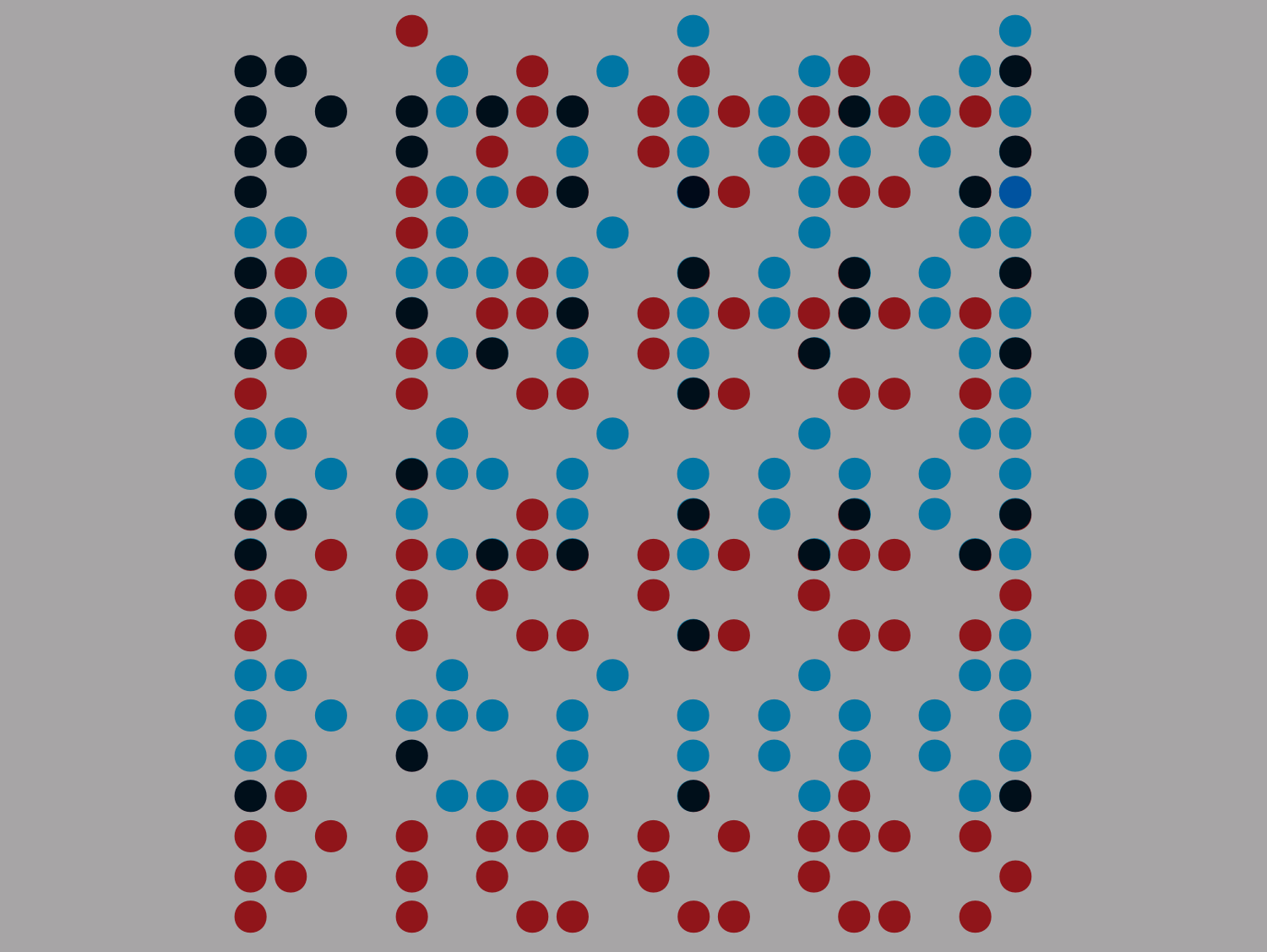## period period period pieces pieces pieces period pieces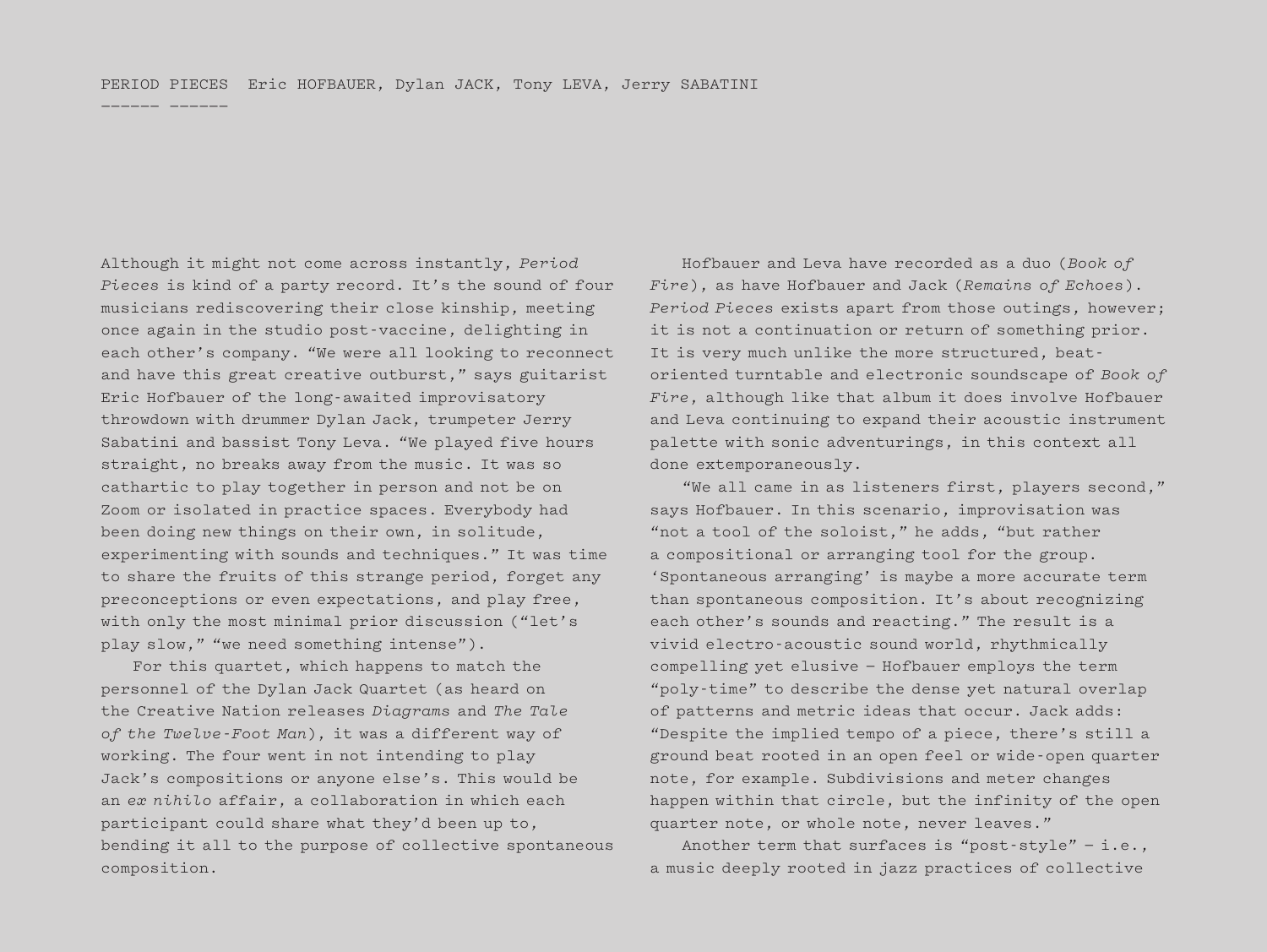Although it might not come across instantly, *Period Pieces* is kind of a party record. It's the sound of four musicians rediscovering their close kinship, meeting once again in the studio post-vaccine, delighting in each other's company. "We were all looking to reconnect and have this great creative outburst," says guitarist Eric Hofbauer of the long-awaited improvisatory throwdown with drummer Dylan Jack, trumpeter Jerry Sabatini and bassist Tony Leva. "We played five hours straight, no breaks away from the music. It was so cathartic to play together in person and not be on Zoom or isolated in practice spaces. Everybody had been doing new things on their own, in solitude, experimenting with sounds and techniques." It was time to share the fruits of this strange period, forget any preconceptions or even expectations, and play free, with only the most minimal prior discussion ("let's play slow," "we need something intense").

—————— ——————

For this quartet, which happens to match the personnel of the Dylan Jack Quartet (as heard on the Creative Nation releases *Diagrams* and *The Tale of the Twelve-Foot Man*), it was a different way of working. The four went in not intending to play Jack's compositions or anyone else's. This would be an *ex nihilo* affair, a collaboration in which each participant could share what they'd been up to, bending it all to the purpose of collective spontaneous composition.

Hofbauer and Leva have recorded as a duo (*Book of Fire*), as have Hofbauer and Jack (*Remains of Echoes*). *Period Pieces* exists apart from those outings, however; it is not a continuation or return of something prior. It is very much unlike the more structured, beatoriented turntable and electronic soundscape of *Book of Fire*, although like that album it does involve Hofbauer and Leva continuing to expand their acoustic instrument palette with sonic adventurings, in this context all done extemporaneously.

"We all came in as listeners first, players second," says Hofbauer. In this scenario, improvisation was "not a tool of the soloist," he adds, "but rather a compositional or arranging tool for the group. 'Spontaneous arranging' is maybe a more accurate term than spontaneous composition. It's about recognizing each other's sounds and reacting." The result is a vivid electro-acoustic sound world, rhythmically compelling yet elusive — Hofbauer employs the term "poly-time" to describe the dense yet natural overlap of patterns and metric ideas that occur. Jack adds: "Despite the implied tempo of a piece, there's still a ground beat rooted in an open feel or wide-open quarter note, for example. Subdivisions and meter changes happen within that circle, but the infinity of the open quarter note, or whole note, never leaves."

Another term that surfaces is "post-style"  $-$  i.e., a music deeply rooted in jazz practices of collective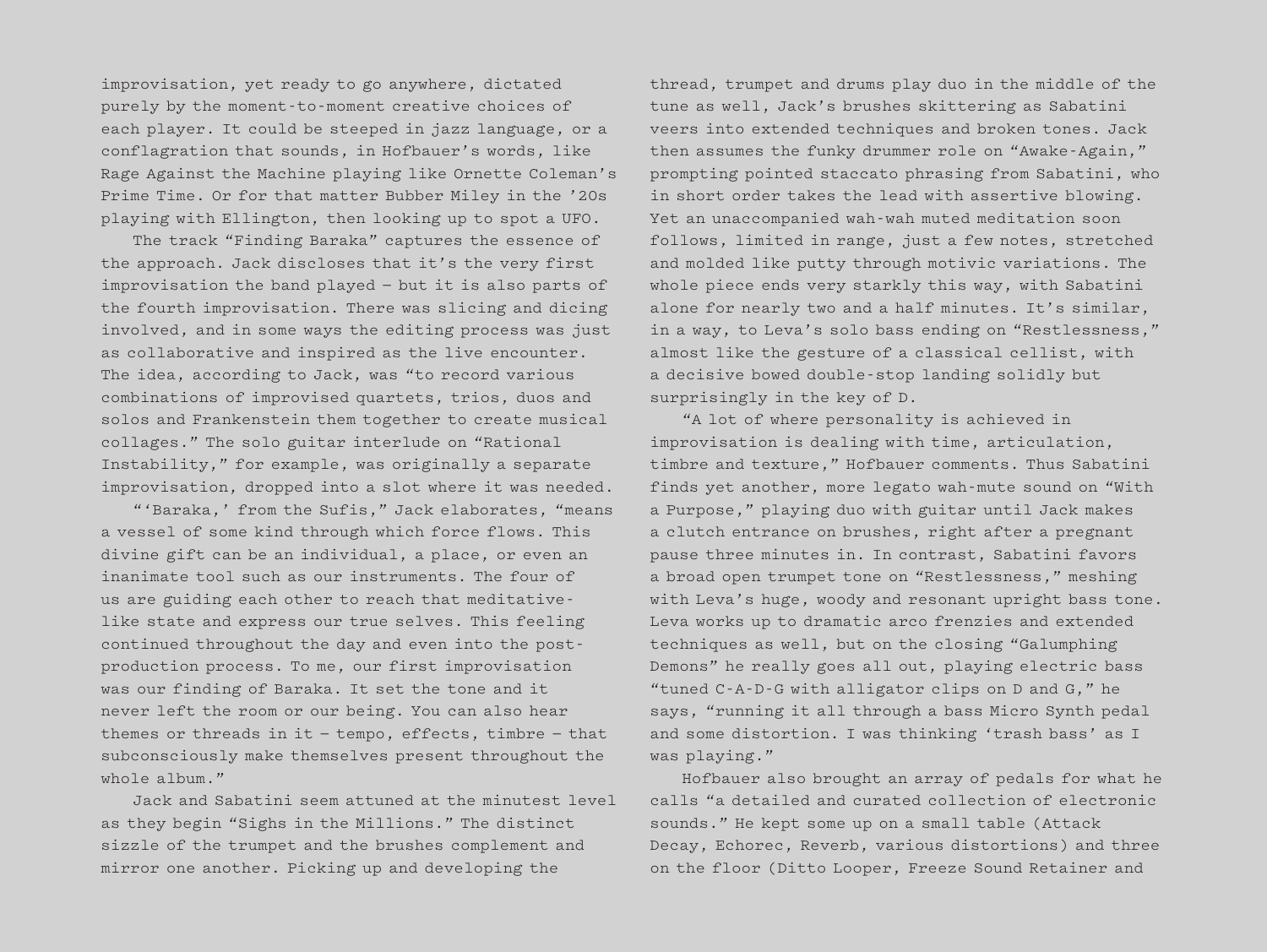improvisation, yet ready to go anywhere, dictated purely by the moment-to-moment creative choices of each player. It could be steeped in jazz language, or a conflagration that sounds, in Hofbauer's words, like Rage Against the Machine playing like Ornette Coleman's Prime Time. Or for that matter Bubber Miley in the '20s playing with Ellington, then looking up to spot a UFO.

The track "Finding Baraka" captures the essence of the approach. Jack discloses that it's the very first improvisation the band played — but it is also parts of the fourth improvisation. There was slicing and dicing involved, and in some ways the editing process was just as collaborative and inspired as the live encounter. The idea, according to Jack, was "to record various combinations of improvised quartets, trios, duos and solos and Frankenstein them together to create musical collages." The solo guitar interlude on "Rational Instability," for example, was originally a separate improvisation, dropped into a slot where it was needed.

"'Baraka,' from the Sufis," Jack elaborates, "means a vessel of some kind through which force flows. This divine gift can be an individual, a place, or even an inanimate tool such as our instruments. The four of us are guiding each other to reach that meditativelike state and express our true selves. This feeling continued throughout the day and even into the postproduction process. To me, our first improvisation was our finding of Baraka. It set the tone and it never left the room or our being. You can also hear themes or threads in it — tempo, effects, timbre — that subconsciously make themselves present throughout the whole album."

Jack and Sabatini seem attuned at the minutest level as they begin "Sighs in the Millions." The distinct sizzle of the trumpet and the brushes complement and mirror one another. Picking up and developing the

thread, trumpet and drums play duo in the middle of the tune as well, Jack's brushes skittering as Sabatini veers into extended techniques and broken tones. Jack then assumes the funky drummer role on "Awake-Again," prompting pointed staccato phrasing from Sabatini, who in short order takes the lead with assertive blowing. Yet an unaccompanied wah-wah muted meditation soon follows, limited in range, just a few notes, stretched and molded like putty through motivic variations. The whole piece ends very starkly this way, with Sabatini alone for nearly two and a half minutes. It's similar, in a way, to Leva's solo bass ending on "Restlessness," almost like the gesture of a classical cellist, with a decisive bowed double-stop landing solidly but surprisingly in the key of D.

"A lot of where personality is achieved in improvisation is dealing with time, articulation, timbre and texture," Hofbauer comments. Thus Sabatini finds yet another, more legato wah-mute sound on "With a Purpose," playing duo with guitar until Jack makes a clutch entrance on brushes, right after a pregnant pause three minutes in. In contrast, Sabatini favors a broad open trumpet tone on "Restlessness," meshing with Leva's huge, woody and resonant upright bass tone. Leva works up to dramatic arco frenzies and extended techniques as well, but on the closing "Galumphing Demons" he really goes all out, playing electric bass "tuned C-A-D-G with alligator clips on D and G," he says, "running it all through a bass Micro Synth pedal and some distortion. I was thinking 'trash bass' as I was playing."

Hofbauer also brought an array of pedals for what he calls "a detailed and curated collection of electronic sounds." He kept some up on a small table (Attack Decay, Echorec, Reverb, various distortions) and three on the floor (Ditto Looper, Freeze Sound Retainer and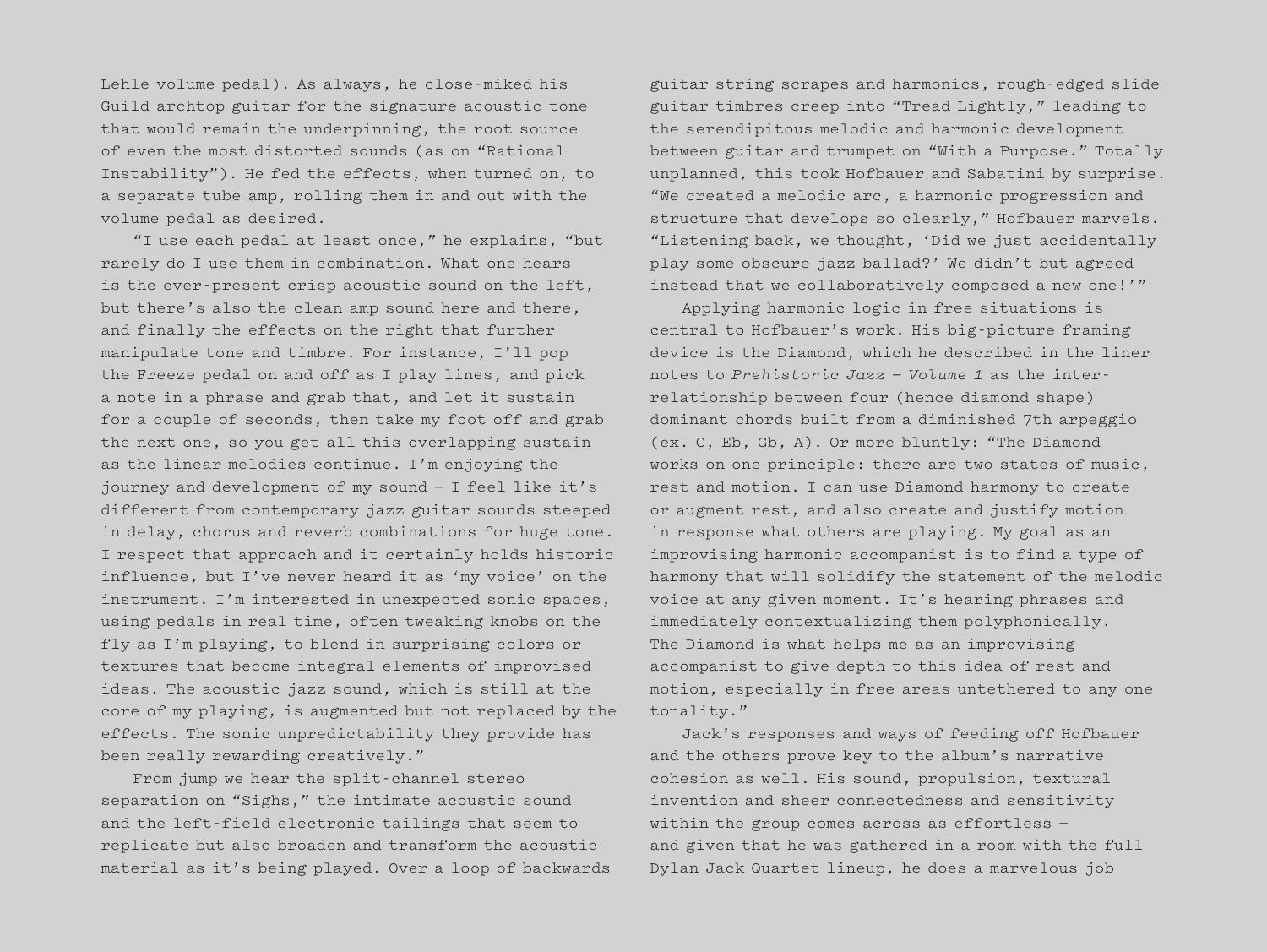Lehle volume pedal). As always, he close-miked his Guild archtop guitar for the signature acoustic tone that would remain the underpinning, the root source of even the most distorted sounds (as on "Rational Instability"). He fed the effects, when turned on, to a separate tube amp, rolling them in and out with the volume pedal as desired.

"I use each pedal at least once," he explains, "but rarely do I use them in combination. What one hears is the ever-present crisp acoustic sound on the left, but there's also the clean amp sound here and there, and finally the effects on the right that further manipulate tone and timbre. For instance, I'll pop the Freeze pedal on and off as I play lines, and pick a note in a phrase and grab that, and let it sustain for a couple of seconds, then take my foot off and grab the next one, so you get all this overlapping sustain as the linear melodies continue. I'm enjoying the journey and development of my sound — I feel like it's different from contemporary jazz guitar sounds steeped in delay, chorus and reverb combinations for huge tone. I respect that approach and it certainly holds historic influence, but I've never heard it as 'my voice' on the instrument. I'm interested in unexpected sonic spaces, using pedals in real time, often tweaking knobs on the fly as I'm playing, to blend in surprising colors or textures that become integral elements of improvised ideas. The acoustic jazz sound, which is still at the core of my playing, is augmented but not replaced by the effects. The sonic unpredictability they provide has been really rewarding creatively."

From jump we hear the split-channel stereo separation on "Sighs," the intimate acoustic sound and the left-field electronic tailings that seem to replicate but also broaden and transform the acoustic material as it's being played. Over a loop of backwards

guitar string scrapes and harmonics, rough-edged slide guitar timbres creep into "Tread Lightly," leading to the serendipitous melodic and harmonic development between guitar and trumpet on "With a Purpose." Totally unplanned, this took Hofbauer and Sabatini by surprise. "We created a melodic arc, a harmonic progression and structure that develops so clearly," Hofbauer marvels. "Listening back, we thought, 'Did we just accidentally play some obscure jazz ballad?' We didn't but agreed instead that we collaboratively composed a new one!'"

Applying harmonic logic in free situations is central to Hofbauer's work. His big-picture framing device is the Diamond, which he described in the liner notes to *Prehistoric Jazz — Volume 1* as the interrelationship between four (hence diamond shape) dominant chords built from a diminished 7th arpeggio (ex. C, Eb, Gb, A). Or more bluntly: "The Diamond works on one principle: there are two states of music, rest and motion. I can use Diamond harmony to create or augment rest, and also create and justify motion in response what others are playing. My goal as an improvising harmonic accompanist is to find a type of harmony that will solidify the statement of the melodic voice at any given moment. It's hearing phrases and immediately contextualizing them polyphonically. The Diamond is what helps me as an improvising accompanist to give depth to this idea of rest and motion, especially in free areas untethered to any one tonality."

Jack's responses and ways of feeding off Hofbauer and the others prove key to the album's narrative cohesion as well. His sound, propulsion, textural invention and sheer connectedness and sensitivity within the group comes across as effortless and given that he was gathered in a room with the full Dylan Jack Quartet lineup, he does a marvelous job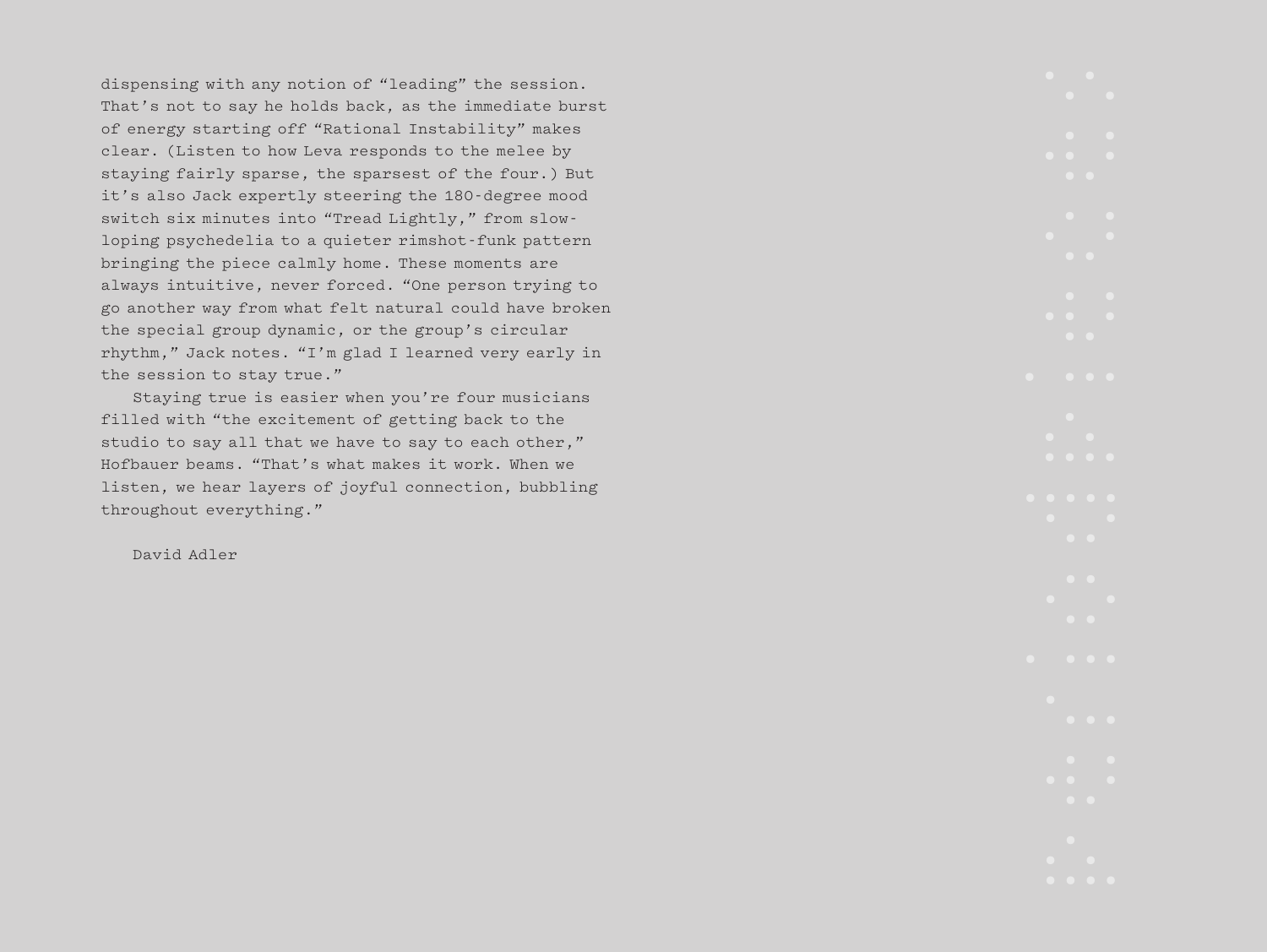dispensing with any notion of "leading" the session. That's not to say he holds back, as the immediate burst of energy starting off "Rational Instability" makes clear. (Listen to how Leva responds to the melee by staying fairly sparse, the sparsest of the four.) But it's also Jack expertly steering the 180-degree mood switch six minutes into "Tread Lightly," from slowloping psychedelia to a quieter rimshot-funk pattern bringing the piece calmly home. These moments are always intuitive, never forced. "One person trying to go another way from what felt natural could have broken the special group dynamic, or the group's circular rhythm," Jack notes. "I'm glad I learned very early in the session to stay true."

Staying true is easier when you're four musicians filled with "the excitement of getting back to the studio to say all that we have to say to each other," Hofbauer beams. "That's what makes it work. When we listen, we hear layers of joyful connection, bubbling throughout everything."

David Adler